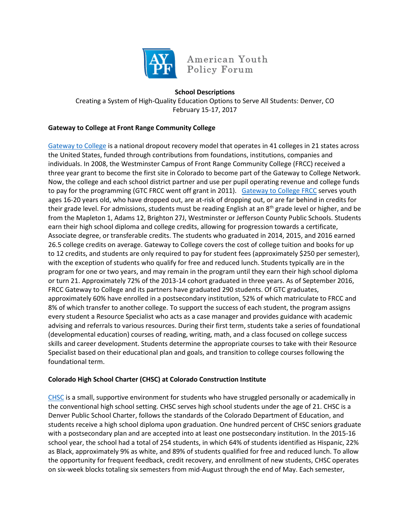

American Youth Policy Forum

## **School Descriptions**

Creating a System of High-Quality Education Options to Serve All Students: Denver, CO February 15-17, 2017

## **Gateway to College at Front Range Community College**

[Gateway to College](http://www.gatewaytocollege.org/) is a national dropout recovery model that operates in 41 colleges in 21 states across the United States, funded through contributions from foundations, institutions, companies and individuals. In 2008, the Westminster Campus of Front Range Community College (FRCC) received a three year grant to become the first site in Colorado to become part of the Gateway to College Network. Now, the college and each school district partner and use per pupil operating revenue and college funds to pay for the programming (GTC FRCC went off grant in 2011). [Gateway to College FRCC](https://www.frontrange.edu/programs-and-courses/high-school-programs/gateway-to-college) serves youth ages 16-20 years old, who have dropped out, are at-risk of dropping out, or are far behind in credits for their grade level. For admissions, students must be reading English at an  $8<sup>th</sup>$  grade level or higher, and be from the Mapleton 1, Adams 12, Brighton 27J, Westminster or Jefferson County Public Schools. Students earn their high school diploma and college credits, allowing for progression towards a certificate, Associate degree, or transferable credits. The students who graduated in 2014, 2015, and 2016 earned 26.5 college credits on average. Gateway to College covers the cost of college tuition and books for up to 12 credits, and students are only required to pay for student fees (approximately \$250 per semester), with the exception of students who qualify for free and reduced lunch. Students typically are in the program for one or two years, and may remain in the program until they earn their high school diploma or turn 21. Approximately 72% of the 2013-14 cohort graduated in three years. As of September 2016, FRCC Gateway to College and its partners have graduated 290 students. Of GTC graduates, approximately 60% have enrolled in a postsecondary institution, 52% of which matriculate to FRCC and 8% of which transfer to another college. To support the success of each student, the program assigns every student a Resource Specialist who acts as a case manager and provides guidance with academic advising and referrals to various resources. During their first term, students take a series of foundational (developmental education) courses of reading, writing, math, and a class focused on college success skills and career development. Students determine the appropriate courses to take with their Resource Specialist based on their educational plan and goals, and transition to college courses following the foundational term.

## **Colorado High School Charter (CHSC) at Colorado Construction Institute**

[CHSC](http://www.coloradohighschoolcharter.org/) is a small, supportive environment for students who have struggled personally or academically in the conventional high school setting. CHSC serves high school students under the age of 21. CHSC is a Denver Public School Charter, follows the standards of the Colorado Department of Education, and students receive a high school diploma upon graduation. One hundred percent of CHSC seniors graduate with a postsecondary plan and are accepted into at least one postsecondary institution. In the 2015-16 school year, the school had a total of 254 students, in which 64% of students identified as Hispanic, 22% as Black, approximately 9% as white, and 89% of students qualified for free and reduced lunch. To allow the opportunity for frequent feedback, credit recovery, and enrollment of new students, CHSC operates on six-week blocks totaling six semesters from mid-August through the end of May. Each semester,